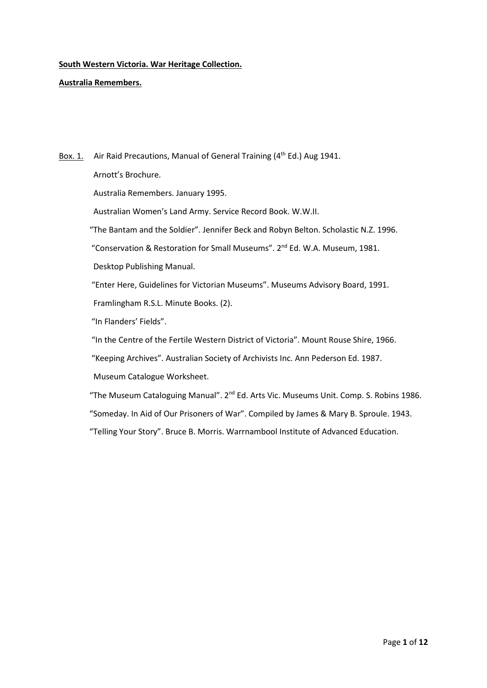**Australia Remembers.**

Box. 1. Air Raid Precautions, Manual of General Training  $(4^{th}$  Ed.) Aug 1941. Arnott's Brochure. Australia Remembers. January 1995. Australian Women's Land Army. Service Record Book. W.W.II. "The Bantam and the Soldier". Jennifer Beck and Robyn Belton. Scholastic N.Z. 1996. "Conservation & Restoration for Small Museums". 2nd Ed. W.A. Museum, 1981. Desktop Publishing Manual. "Enter Here, Guidelines for Victorian Museums". Museums Advisory Board, 1991. Framlingham R.S.L. Minute Books. (2). "In Flanders' Fields". "In the Centre of the Fertile Western District of Victoria". Mount Rouse Shire, 1966. "Keeping Archives". Australian Society of Archivists Inc. Ann Pederson Ed. 1987. Museum Catalogue Worksheet. "The Museum Cataloguing Manual". 2<sup>nd</sup> Ed. Arts Vic. Museums Unit. Comp. S. Robins 1986.

"Someday. In Aid of Our Prisoners of War". Compiled by James & Mary B. Sproule. 1943.

"Telling Your Story". Bruce B. Morris. Warrnambool Institute of Advanced Education.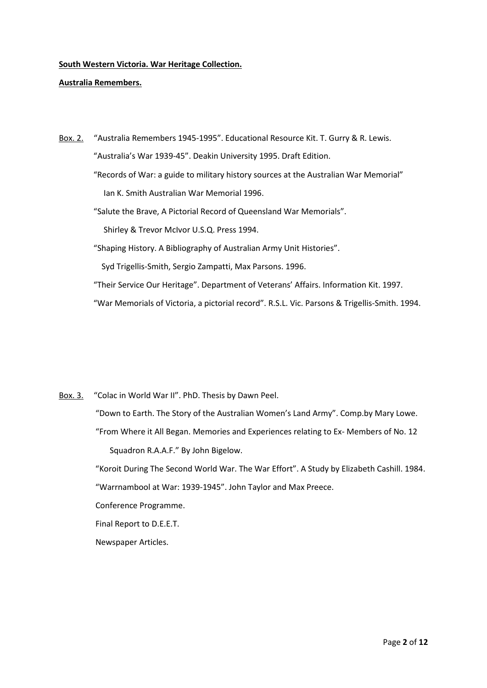### **Australia Remembers.**

Box. 2. "Australia Remembers 1945-1995". Educational Resource Kit. T. Gurry & R. Lewis. "Australia's War 1939-45". Deakin University 1995. Draft Edition. "Records of War: a guide to military history sources at the Australian War Memorial" Ian K. Smith Australian War Memorial 1996. "Salute the Brave, A Pictorial Record of Queensland War Memorials". Shirley & Trevor McIvor U.S.Q. Press 1994. "Shaping History. A Bibliography of Australian Army Unit Histories". Syd Trigellis-Smith, Sergio Zampatti, Max Parsons. 1996. "Their Service Our Heritage". Department of Veterans' Affairs. Information Kit. 1997. "War Memorials of Victoria, a pictorial record". R.S.L. Vic. Parsons & Trigellis-Smith. 1994.

Box. 3. "Colac in World War II". PhD. Thesis by Dawn Peel.

 "Down to Earth. The Story of the Australian Women's Land Army". Comp.by Mary Lowe. "From Where it All Began. Memories and Experiences relating to Ex- Members of No. 12 Squadron R.A.A.F." By John Bigelow.

 "Koroit During The Second World War. The War Effort". A Study by Elizabeth Cashill. 1984. "Warrnambool at War: 1939-1945". John Taylor and Max Preece.

Conference Programme.

Final Report to D.E.E.T.

Newspaper Articles.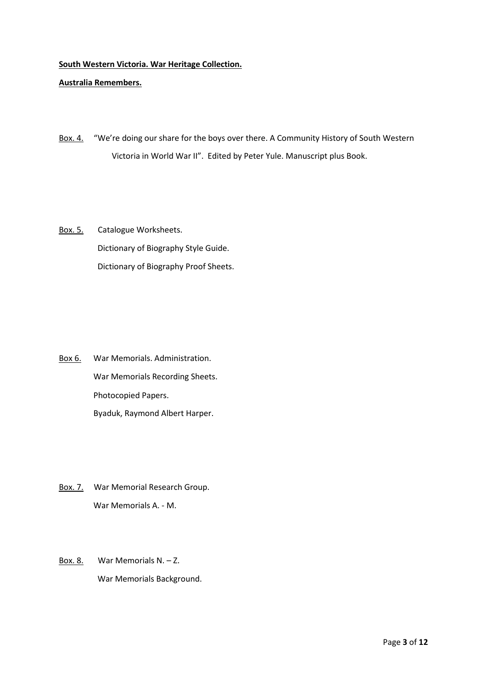### **Australia Remembers.**

- Box. 4. "We're doing our share for the boys over there. A Community History of South Western Victoria in World War II". Edited by Peter Yule. Manuscript plus Book.
- Box. 5. Catalogue Worksheets. Dictionary of Biography Style Guide. Dictionary of Biography Proof Sheets.

- Box 6. War Memorials. Administration. War Memorials Recording Sheets. Photocopied Papers. Byaduk, Raymond Albert Harper.
- Box. 7. War Memorial Research Group. War Memorials A. - M.
- Box. 8. War Memorials N. Z. War Memorials Background.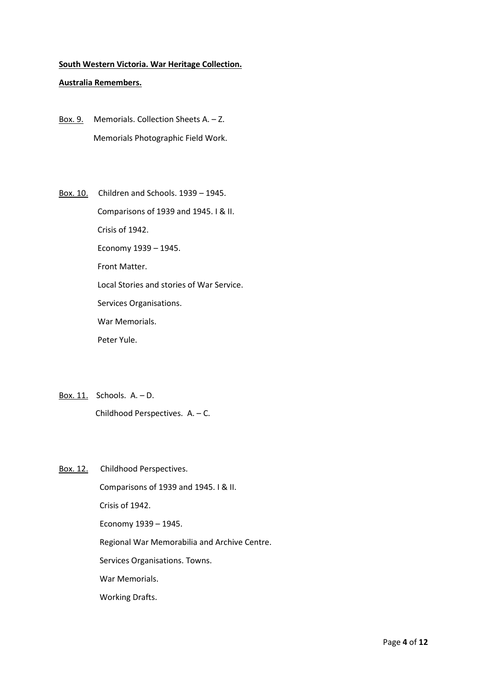#### **Australia Remembers.**

- Box. 9. Memorials. Collection Sheets A. Z. Memorials Photographic Field Work.
- Box. 10. Children and Schools. 1939 1945. Comparisons of 1939 and 1945. I & II. Crisis of 1942. Economy 1939 – 1945. Front Matter. Local Stories and stories of War Service. Services Organisations. War Memorials. Peter Yule.
- Box. 11. Schools. A. D. Childhood Perspectives. A. – C.
- Box. 12. Childhood Perspectives.

 Comparisons of 1939 and 1945. I & II. Crisis of 1942. Economy 1939 – 1945. Regional War Memorabilia and Archive Centre. Services Organisations. Towns. War Memorials. Working Drafts.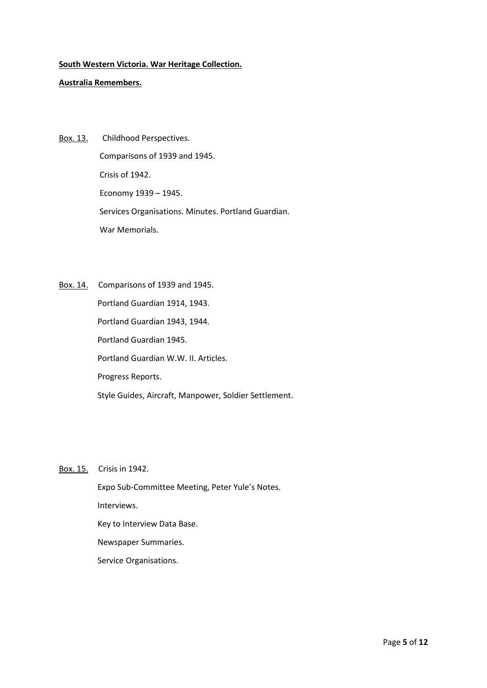### **Australia Remembers.**

- Box. 13. Childhood Perspectives. Comparisons of 1939 and 1945. Crisis of 1942. Economy 1939 – 1945. Services Organisations. Minutes. Portland Guardian. War Memorials.
- Box. 14. Comparisons of 1939 and 1945. Portland Guardian 1914, 1943. Portland Guardian 1943, 1944. Portland Guardian 1945. Portland Guardian W.W. II. Articles. Progress Reports. Style Guides, Aircraft, Manpower, Soldier Settlement.

### Box. 15. Crisis in 1942.

 Expo Sub-Committee Meeting, Peter Yule's Notes. Interviews. Key to Interview Data Base. Newspaper Summaries. Service Organisations.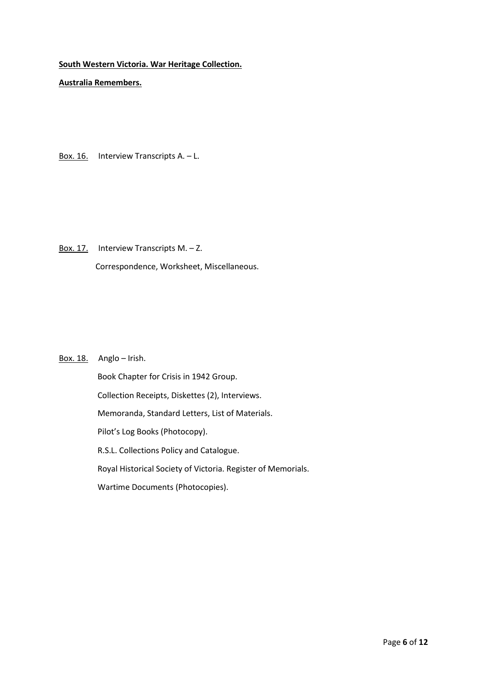**Australia Remembers.**

Box. 16. Interview Transcripts A.  $-$  L.

Box. 17. Interview Transcripts M. - Z. Correspondence, Worksheet, Miscellaneous.

## Box. 18. Anglo – Irish.

 Book Chapter for Crisis in 1942 Group. Collection Receipts, Diskettes (2), Interviews. Memoranda, Standard Letters, List of Materials. Pilot's Log Books (Photocopy). R.S.L. Collections Policy and Catalogue. Royal Historical Society of Victoria. Register of Memorials. Wartime Documents (Photocopies).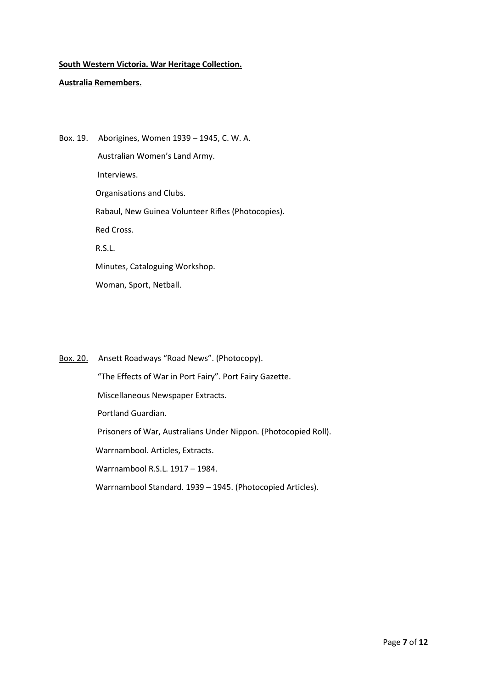## **Australia Remembers.**

Box. 19. Aborigines, Women 1939 – 1945, C. W. A. Australian Women's Land Army. Interviews. Organisations and Clubs. Rabaul, New Guinea Volunteer Rifles (Photocopies). Red Cross. R.S.L. Minutes, Cataloguing Workshop. Woman, Sport, Netball.

Box. 20. Ansett Roadways "Road News". (Photocopy). "The Effects of War in Port Fairy". Port Fairy Gazette. Miscellaneous Newspaper Extracts. Portland Guardian. Prisoners of War, Australians Under Nippon. (Photocopied Roll). Warrnambool. Articles, Extracts. Warrnambool R.S.L. 1917 – 1984. Warrnambool Standard. 1939 – 1945. (Photocopied Articles).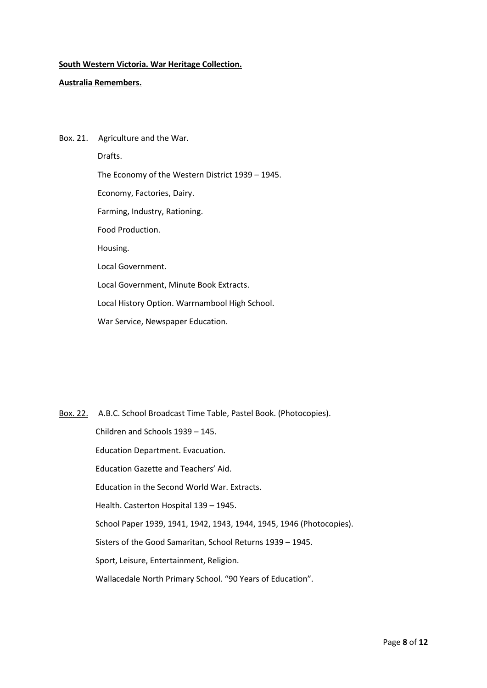### **Australia Remembers.**

Box. 21. Agriculture and the War. Drafts. The Economy of the Western District 1939 – 1945. Economy, Factories, Dairy. Farming, Industry, Rationing. Food Production. Housing. Local Government. Local Government, Minute Book Extracts. Local History Option. Warrnambool High School. War Service, Newspaper Education.

Box. 22. A.B.C. School Broadcast Time Table, Pastel Book. (Photocopies). Children and Schools 1939 – 145. Education Department. Evacuation. Education Gazette and Teachers' Aid. Education in the Second World War. Extracts. Health. Casterton Hospital 139 – 1945. School Paper 1939, 1941, 1942, 1943, 1944, 1945, 1946 (Photocopies). Sisters of the Good Samaritan, School Returns 1939 – 1945. Sport, Leisure, Entertainment, Religion. Wallacedale North Primary School. "90 Years of Education".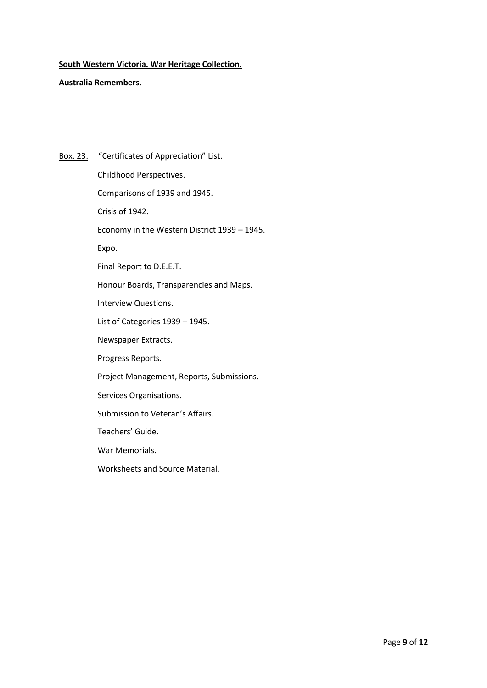### **Australia Remembers.**

Box. 23. "Certificates of Appreciation" List. Childhood Perspectives. Comparisons of 1939 and 1945. Crisis of 1942. Economy in the Western District 1939 – 1945. Expo. Final Report to D.E.E.T. Honour Boards, Transparencies and Maps. Interview Questions. List of Categories 1939 – 1945. Newspaper Extracts. Progress Reports. Project Management, Reports, Submissions. Services Organisations. Submission to Veteran's Affairs. Teachers' Guide. War Memorials. Worksheets and Source Material.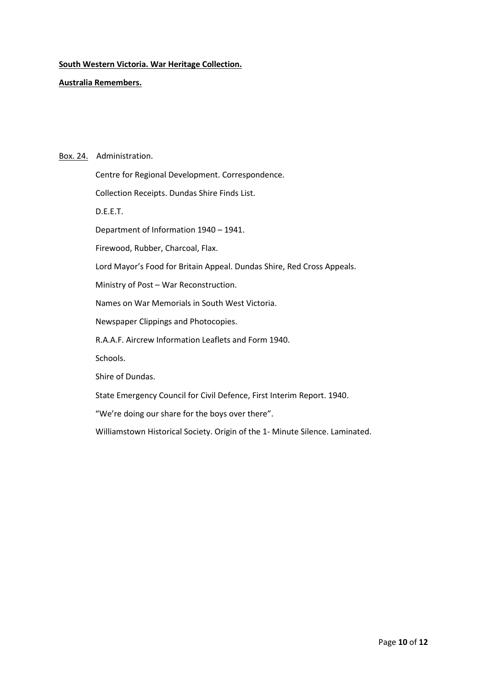**Australia Remembers.**

#### Box. 24. Administration.

 Centre for Regional Development. Correspondence. Collection Receipts. Dundas Shire Finds List. D.E.E.T. Department of Information 1940 – 1941. Firewood, Rubber, Charcoal, Flax. Lord Mayor's Food for Britain Appeal. Dundas Shire, Red Cross Appeals. Ministry of Post – War Reconstruction. Names on War Memorials in South West Victoria. Newspaper Clippings and Photocopies. R.A.A.F. Aircrew Information Leaflets and Form 1940. Schools. Shire of Dundas. State Emergency Council for Civil Defence, First Interim Report. 1940. "We're doing our share for the boys over there".

Williamstown Historical Society. Origin of the 1- Minute Silence. Laminated.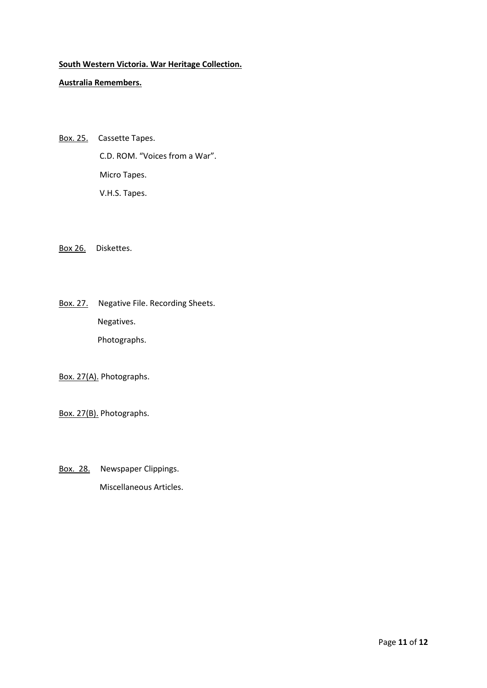## **Australia Remembers.**

Box. 25. Cassette Tapes. C.D. ROM. "Voices from a War". Micro Tapes. V.H.S. Tapes.

Box 26. Diskettes.

Box. 27. Negative File. Recording Sheets. Negatives. Photographs.

Box. 27(A). Photographs.

Box. 27(B). Photographs.

Box. 28. Newspaper Clippings. Miscellaneous Articles.